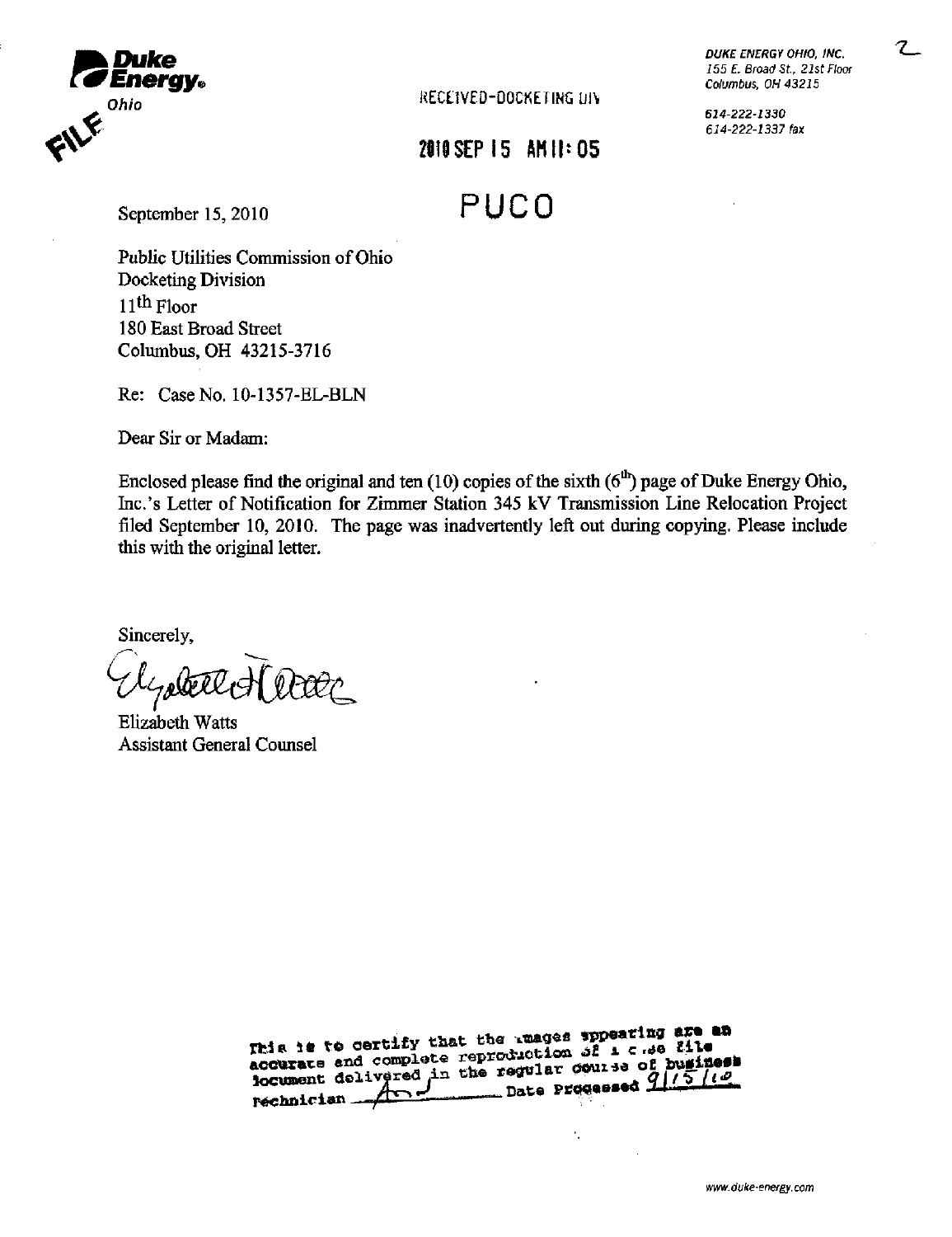

Ohio **CONTRACT CONTRACT CONTRACT CONTRACT CONTRACT CONTRACT CONTRACT CONTRACT CONTRACT CONTRACT CONTRACT CONTRACT CONTRACT CONTRACT CONTRACT CONTRACT CONTRACT CONTRACT CONTRACT CONTRACT CONTRACT CONTRACT CONTRACT CONTRACT** 

6J4-222-i330 6i4-222-i337fax

## 2010 SEP 15 AM 11:05

September 15, 2010 PUCO

Public Utilities Commission of Ohio Docketing Division  $11<sup>th</sup>$  Floor 180 East Broad Street Columbus, OH 43215-3716

Re: Case No. 10-1357-EL-BLN

Dear Sir or Madam:

Enclosed please find the original and ten  $(10)$  copies of the sixth  $(6<sup>th</sup>)$  page of Duke Energy Ohio, Inc.'s Letter of Notification for Zimmer Station 345 kV Transmission Line Relocation Project filed September 10, 2010. The page was inadvertently left out during copying. Please include this with the original letter.

Sincerely,

t.

Ehzabeth Watts Assistant General Counsel

| This is to certify that the manage sppearing are an<br>accurate and complete reproduction of 1 c se file<br>locument delivered in the regular course of buginess<br>rechnician And Date Progessed 9/15/10 |
|-----------------------------------------------------------------------------------------------------------------------------------------------------------------------------------------------------------|
|                                                                                                                                                                                                           |

÷,